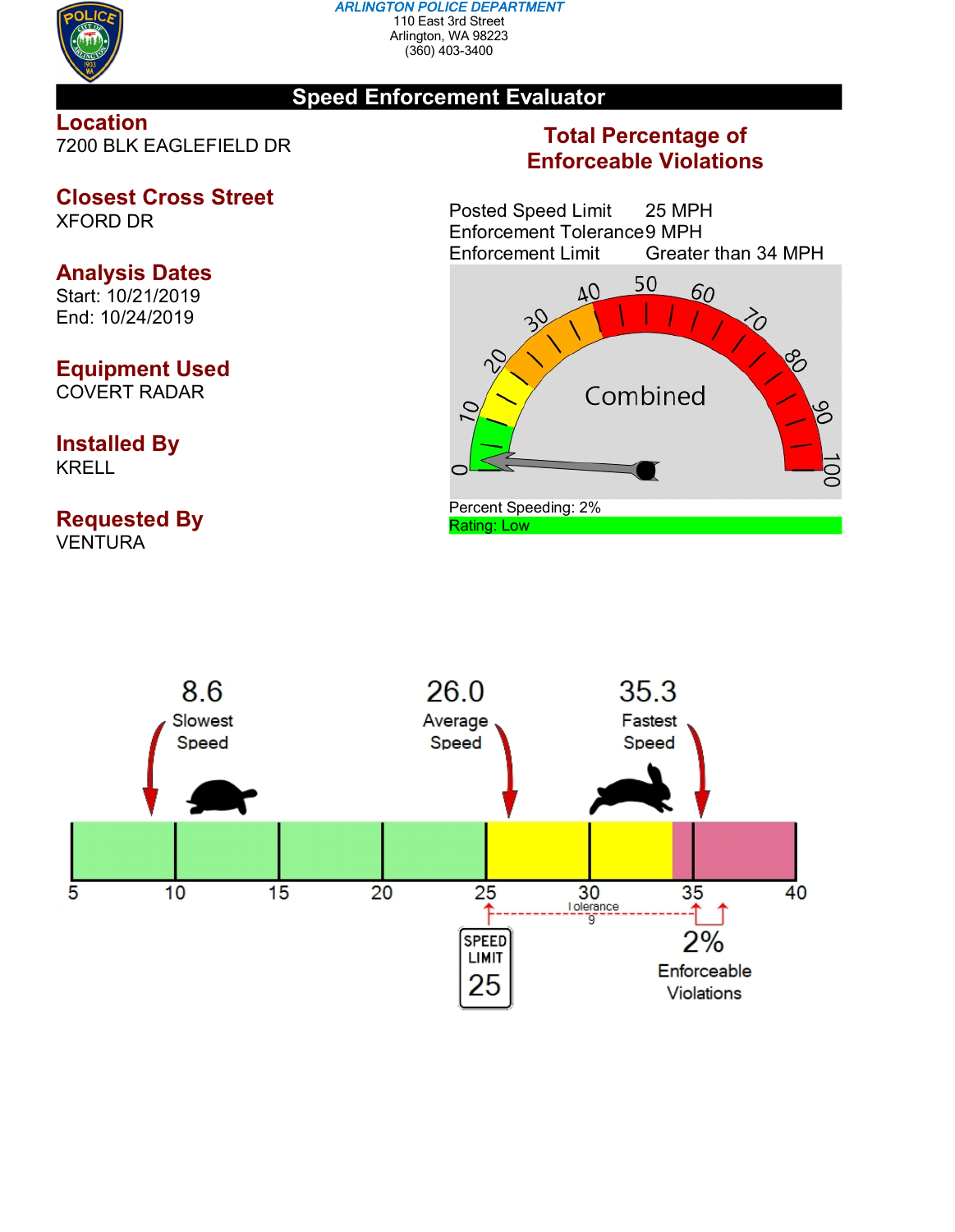

#### *ARLINGTON POLICE DEPARTMENT* 110 East 3rd Street Arlington, WA 98223 (360) 403-3400

## **Speed Enforcement Evaluator**

**Location** 7200 BLK EAGLEFIELD DR

# **Closest Cross Street**

XFORD DR

# **Analysis Dates**

Start: 10/21/2019 End: 10/24/2019

# **Equipment Used**

COVERT RADAR

### **Installed By** KRELL

### **Requested By VENTURA**

# **Total Percentage of Enforceable Violations**

Posted Speed Limit 25 MPH Enforcement Tolerance 9 MPH<br>Enforcement Limit Greater Greater than 34 MPH